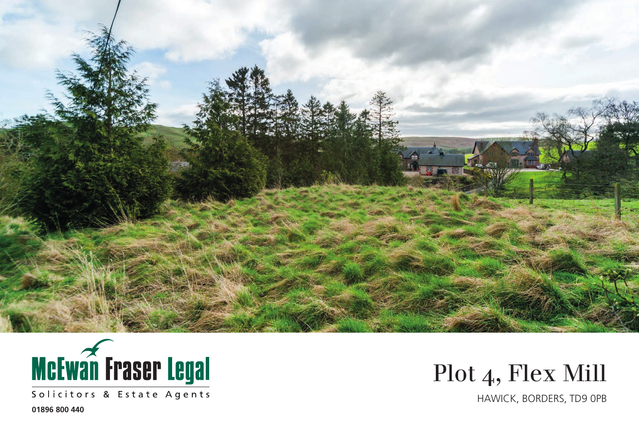



Solicitors & Estate Agents

Plot 4, Flex Mill

HAWICK, BORDERS, TD9 0PB

**01896 800 440**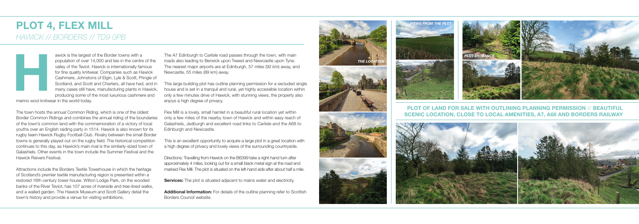## **PLOT 4, FLEX MILL** *HAWICK // BORDERS // TD9 0PB*



## **PLOT OF LAND FOR SALE WITH OUTLINING PLANNING PERMISSION // BEAUTIFUL SCENIC LOCATION, CLOSE TO LOCAL AMENITIES, A7, A68 AND BORDERS RAILWAY**



awick is the largest of the Border towns with a population of over 14,000 and lies in the centre of the valley of the Teviot. Hawick is internationally famous for fine quality knitwear. Companies such as Hawick Cashmere, Johnstons of Elgin, Lyle & Scott, Pringle of Scotland, and Scott and Charters, all have had, and in many cases still have, manufacturing plants in Hawick, producing some of the most luxurious cashmere and

merino wool knitwear in the world today.

The town hosts the annual Common Riding, which is one of the oldest Border Common Ridings and combines the annual riding of the boundaries of the town's common land with the commemoration of a victory of local youths over an English raiding party in 1514. Hawick is also known for its rugby team Hawick Rugby Football Club. Rivalry between the small Border towns is generally played out on the rugby field. The historical competition continues to this day, as Hawick's main rival is the similarly-sized town of Galashiels. Other events in the town include the Summer Festival and the Hawick Reivers Festival.

Attractions include the Borders Textile Towerhouse in which the heritage of Scotland's premier textile manufacturing region is presented within a restored 16th century tower house. Wilton Lodge Park, on the wooded banks of the River Teviot, has 107 acres of riverside and tree-lined walks, and a walled garden. The Hawick Museum and Scott Gallery detail the town's history and provide a venue for visiting exhibitions.

The A7 Edinburgh to Carlisle road passes through the town, with main roads also leading to Berwick upon Tweed and Newcastle upon Tyne. The nearest major airports are at Edinburgh, 57 miles (92 km) away, and Newcastle, 55 miles (89 km) away.

This large building plot has outline planning permission for a secluded single house and is set in a tranquil and rural, yet highly accessible location within only a few minutes drive of Hawick, with stunning views, the property also enjoys a high degree of privacy.

Flex Mill is a lovely, small hamlet in a beautiful rural location yet within only a few miles of the nearby town of Hawick and within easy reach of Galashiels, Jedburgh and excellent road links to Carlisle and the A68 to Edinburgh and Newcastle.

This is an excellent opportunity to acquire a large plot in a great location with a high degree of privacy and lovely views of the surrounding countryside.

Directions: Travelling from Hawick on the B6399 take a right-hand turn after approximately 4 miles, looking out for a small black metal sign at the road end marked Flex Mill. The plot is situated on the left-hand side after about half a mile.

**Services:** The plot is situated adjacent to mains water and electricity.

**Additional Information:** For details of the outline planning refer to Scottish Borders Council website.